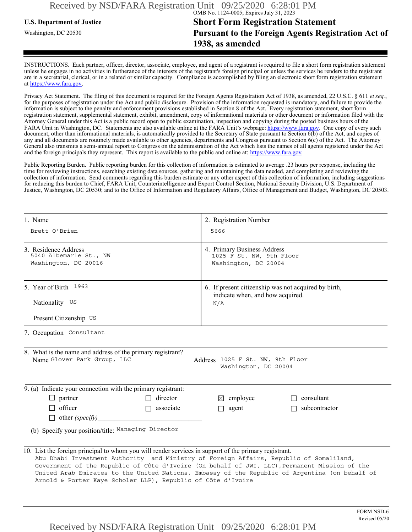# **U.S. Department of Justice Short Form Registration Statement** Washington, DC 20530 **Pursuant to the Foreign Agents Registration Act of 1938, as amended**

INSTRUCTIONS. Each partner, officer, director, associate, employee, and agent of a registrant is required to file a short form registration statement unless he engages in no activities in furtherance of the interests of the registrant's foreign principal or unless the services he renders to the registrant are in a secretarial, clerical, or in a related or similar capacity. Compliance is accomplished by filing an electronic short form registration statement at https://www.fara.gov.

Privacy Act Statement. The filing of this document is required for the Foreign Agents Registration Act of 1938, as amended, 22 U.S.C. § 611 *et seq.*, for the purposes of registration under the Act and public disclosure. Provision of the information requested is mandatory, and failure to provide the information is subject to the penalty and enforcement provisions established in Section 8 of the Act. Every registration statement, short form registration statement, supplemental statement, exhibit, amendment, copy of informational materials or other document or information filed with the Attorney General under this Act is a public record open to public examination, inspection and copying during the posted business hours of the FARA Unit in Washington, DC. Statements are also available online at the FARA Unit's webpage: https://www.fara.gov. One copy of every such document, other than informational materials, is automatically provided to the Secretary of State pursuant to Section 6(b) of the Act, and copies of any and all documents are routinely made available to other agencies, departments and Congress pursuant to Section 6(c) of the Act. The Attorney General also transmits a semi-annual report to Congress on the administration of the Act which lists the names of all agents registered under the Act and the foreign principals they represent. This report is available to the public and online at: https://www.fara.gov.

Public Reporting Burden. Public reporting burden for this collection of information is estimated to average .23 hours per response, including the time for reviewing instructions, searching existing data sources, gathering and maintaining the data needed, and completing and reviewing the collection of information. Send comments regarding this burden estimate or any other aspect of this collection of information, including suggestions for reducing this burden to Chief, FARA Unit, Counterintelligence and Export Control Section, National Security Division, U.S. Department of Justice, Washington, DC 20530; and to the Office of Information and Regulatory Affairs, Office of Management and Budget, Washington, DC 20503.

| 1. Name                                                                                                                                                                                                                                                          | 2. Registration Number<br>5666<br>4. Primary Business Address<br>1025 F St. NW, 9th Floor<br>Washington, DC 20004                                                                                                    |  |  |
|------------------------------------------------------------------------------------------------------------------------------------------------------------------------------------------------------------------------------------------------------------------|----------------------------------------------------------------------------------------------------------------------------------------------------------------------------------------------------------------------|--|--|
| Brett O'Brien                                                                                                                                                                                                                                                    |                                                                                                                                                                                                                      |  |  |
| 3. Residence Address<br>5040 Albemarle St., NW<br>Washington, DC 20016                                                                                                                                                                                           |                                                                                                                                                                                                                      |  |  |
| 5. Year of Birth 1963                                                                                                                                                                                                                                            | 6. If present citizenship was not acquired by birth,<br>indicate when, and how acquired.<br>N/A                                                                                                                      |  |  |
| Nationality US                                                                                                                                                                                                                                                   |                                                                                                                                                                                                                      |  |  |
| Present Citizenship US                                                                                                                                                                                                                                           |                                                                                                                                                                                                                      |  |  |
| 7. Occupation Consultant                                                                                                                                                                                                                                         |                                                                                                                                                                                                                      |  |  |
| 8. What is the name and address of the primary registrant?<br>Name Glover Park Group, LLC                                                                                                                                                                        | Address 1025 F St. NW, 9th Floor<br>Washington, DC 20004                                                                                                                                                             |  |  |
| 9. (a) Indicate your connection with the primary registrant:                                                                                                                                                                                                     |                                                                                                                                                                                                                      |  |  |
| $\Box$ partner<br>$\Box$ director                                                                                                                                                                                                                                | $\boxtimes$ employee<br>$\Box$ consultant                                                                                                                                                                            |  |  |
| $\Box$ officer<br>$\Box$ associate                                                                                                                                                                                                                               | $\Box$ subcontractor<br>$\Box$ agent                                                                                                                                                                                 |  |  |
| $\Box$ other (specify)                                                                                                                                                                                                                                           |                                                                                                                                                                                                                      |  |  |
| (b) Specify your position/title: Managing Director                                                                                                                                                                                                               |                                                                                                                                                                                                                      |  |  |
| 10. List the foreign principal to whom you will render services in support of the primary registrant.<br>Abu Dhabi Investment Authority and Ministry of Foreign Affairs, Republic of Somaliland,<br>Arnold & Porter Kaye Scholer LLP), Republic of Côte d'Ivoire | Government of the Republic of Côte d'Ivoire (On behalf of JWI, LLC), Permanent Mission of the<br>United Arab Emirates to the United Nations, Embassy of the Republic of Argentina (on behalf of<br><b>FORM NSD-6</b> |  |  |
| Received by NSD/FARA Registration Unit 09/25/2020 6:28:01 PM                                                                                                                                                                                                     | Revised 05/20                                                                                                                                                                                                        |  |  |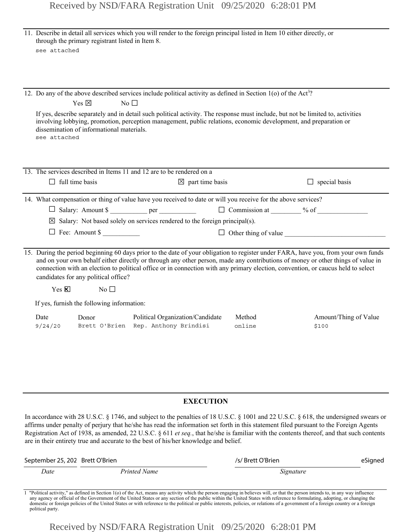|                                                                                                                                                                                                                                                                                                                                                                                                                                                   |           |                                                                           |                                                                                                                                                                                                                                                                                            | $\Box$ special basis                                                                                                                                                                                                                                                                                                                                                                                                                                                                                                                                                                                                                                                                                                                                                                                                                                           |  |
|---------------------------------------------------------------------------------------------------------------------------------------------------------------------------------------------------------------------------------------------------------------------------------------------------------------------------------------------------------------------------------------------------------------------------------------------------|-----------|---------------------------------------------------------------------------|--------------------------------------------------------------------------------------------------------------------------------------------------------------------------------------------------------------------------------------------------------------------------------------------|----------------------------------------------------------------------------------------------------------------------------------------------------------------------------------------------------------------------------------------------------------------------------------------------------------------------------------------------------------------------------------------------------------------------------------------------------------------------------------------------------------------------------------------------------------------------------------------------------------------------------------------------------------------------------------------------------------------------------------------------------------------------------------------------------------------------------------------------------------------|--|
|                                                                                                                                                                                                                                                                                                                                                                                                                                                   |           |                                                                           |                                                                                                                                                                                                                                                                                            |                                                                                                                                                                                                                                                                                                                                                                                                                                                                                                                                                                                                                                                                                                                                                                                                                                                                |  |
|                                                                                                                                                                                                                                                                                                                                                                                                                                                   |           |                                                                           |                                                                                                                                                                                                                                                                                            |                                                                                                                                                                                                                                                                                                                                                                                                                                                                                                                                                                                                                                                                                                                                                                                                                                                                |  |
|                                                                                                                                                                                                                                                                                                                                                                                                                                                   |           |                                                                           |                                                                                                                                                                                                                                                                                            |                                                                                                                                                                                                                                                                                                                                                                                                                                                                                                                                                                                                                                                                                                                                                                                                                                                                |  |
|                                                                                                                                                                                                                                                                                                                                                                                                                                                   |           |                                                                           |                                                                                                                                                                                                                                                                                            |                                                                                                                                                                                                                                                                                                                                                                                                                                                                                                                                                                                                                                                                                                                                                                                                                                                                |  |
| 15. During the period beginning 60 days prior to the date of your obligation to register under FARA, have you, from your own funds<br>and on your own behalf either directly or through any other person, made any contributions of money or other things of value in<br>connection with an election to political office or in connection with any primary election, convention, or caucus held to select<br>candidates for any political office? |           |                                                                           |                                                                                                                                                                                                                                                                                            |                                                                                                                                                                                                                                                                                                                                                                                                                                                                                                                                                                                                                                                                                                                                                                                                                                                                |  |
| $Yes \times$                                                                                                                                                                                                                                                                                                                                                                                                                                      | No $\Box$ |                                                                           |                                                                                                                                                                                                                                                                                            |                                                                                                                                                                                                                                                                                                                                                                                                                                                                                                                                                                                                                                                                                                                                                                                                                                                                |  |
|                                                                                                                                                                                                                                                                                                                                                                                                                                                   |           |                                                                           |                                                                                                                                                                                                                                                                                            |                                                                                                                                                                                                                                                                                                                                                                                                                                                                                                                                                                                                                                                                                                                                                                                                                                                                |  |
| Date<br>9/24/20                                                                                                                                                                                                                                                                                                                                                                                                                                   | Donor     | Political Organization/Candidate                                          | Method<br>online                                                                                                                                                                                                                                                                           | Amount/Thing of Value<br>\$100                                                                                                                                                                                                                                                                                                                                                                                                                                                                                                                                                                                                                                                                                                                                                                                                                                 |  |
|                                                                                                                                                                                                                                                                                                                                                                                                                                                   |           | see attached<br>Yes $\boxtimes$<br>see attached<br>$\Box$ full time basis | through the primary registrant listed in Item 8.<br>No<br>dissemination of informational materials.<br>13. The services described in Items 11 and 12 are to be rendered on a<br>$\Box$ Fee: Amount \$<br>If yes, furnish the following information:<br>Brett O'Brien Rep. Anthony Brindisi | 11. Describe in detail all services which you will render to the foreign principal listed in Item 10 either directly, or<br>12. Do any of the above described services include political activity as defined in Section 1(o) of the Act <sup>1</sup> ?<br>If yes, describe separately and in detail such political activity. The response must include, but not be limited to, activities<br>involving lobbying, promotion, perception management, public relations, economic development, and preparation or<br>$\boxtimes$ part time basis<br>14. What compensation or thing of value have you received to date or will you receive for the above services?<br>□ Salary: Amount \$ ___________ per _________________ □ Commission at _______ % of ________________<br>$\boxtimes$ Salary: Not based solely on services rendered to the foreign principal(s). |  |

## **EXECUTION**

In accordance with 28 U.S.C. § 1746, and subject to the penalties of 18 U.S.C. § 1001 and 22 U.S.C. § 618, the undersigned swears or affirms under penalty of perjury that he/she has read the information set forth in this statement filed pursuant to the Foreign Agents Registration Act of 1938, as amended, 22 U.S.C. § 611 *et seq.*, that he/she is familiar with the contents thereof, and that such contents are in their entirety true and accurate to the best of his/her knowledge and belief.

| September 25, 202 Brett O'Brien |              | /s/ Brett O'Brien                                                                                                                              | eSigned |
|---------------------------------|--------------|------------------------------------------------------------------------------------------------------------------------------------------------|---------|
| Date                            | Printed Name | Signature                                                                                                                                      |         |
|                                 |              | - "Delkiel eniske" er 145.01 in Oenier 170 efke Antoneous en eniskeslich der energe securiteite in den den en intendente in energetellingen er |         |

Political activity," as defined in Section 1(o) of the Act, means any activity which the person engaging in believes will, or that the person intends to, in any way influence any agency or official of the Government of the domestic or foreign policies of the United States or with reference to the political or public interests, policies, or relations of a government of a foreign country or a foreign political party.

Received by NSD/FARA Registration Unit 09/25/2020 6:28:01 PM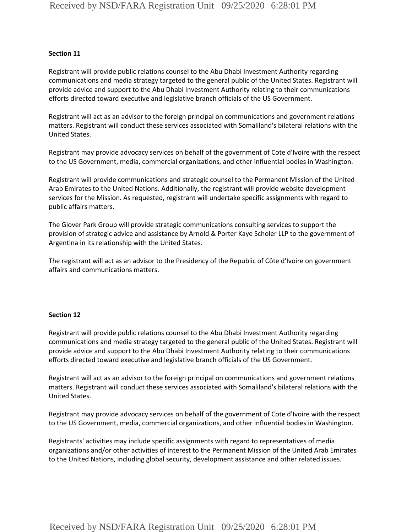### **Section 11**

Registrant will provide public relations counsel to the Abu Dhabi Investment Authority regarding communications and media strategy targeted to the general public of the United States. Registrant will provide advice and support to the Abu Dhabi Investment Authority relating to their communications efforts directed toward executive and legislative branch officials of the US Government.

Registrant will act as an advisor to the foreign principal on communications and government relations matters. Registrant will conduct these services associated with Somaliland's bilateral relations with the United States.

Registrant may provide advocacy services on behalf of the government of Cote d'Ivoire with the respect to the US Government, media, commercial organizations, and other influential bodies in Washington.

Registrant will provide communications and strategic counsel to the Permanent Mission of the United Arab Emirates to the United Nations. Additionally, the registrant will provide website development services for the Mission. As requested, registrant will undertake specific assignments with regard to public affairs matters.

The Glover Park Group will provide strategic communications consulting services to support the provision of strategic advice and assistance by Arnold & Porter Kaye Scholer LLP to the government of Argentina in its relationship with the United States.

The registrant will act as an advisor to the Presidency of the Republic of Côte d'Ivoire on government affairs and communications matters.

#### **Section 12**

Registrant will provide public relations counsel to the Abu Dhabi Investment Authority regarding communications and media strategy targeted to the general public of the United States. Registrant will provide advice and support to the Abu Dhabi Investment Authority relating to their communications efforts directed toward executive and legislative branch officials of the US Government.

Registrant will act as an advisor to the foreign principal on communications and government relations matters. Registrant will conduct these services associated with Somaliland's bilateral relations with the United States.

Registrant may provide advocacy services on behalf of the government of Cote d'Ivoire with the respect to the US Government, media, commercial organizations, and other influential bodies in Washington.

Registrants' activities may include specific assignments with regard to representatives of media organizations and/or other activities of interest to the Permanent Mission of the United Arab Emirates to the United Nations, including global security, development assistance and other related issues.